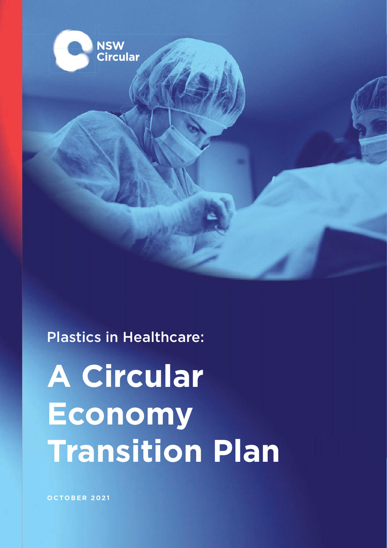

### Plastics in Healthcare:

# **A Circular Economy Transition Plan**

**OCTOBER 2021**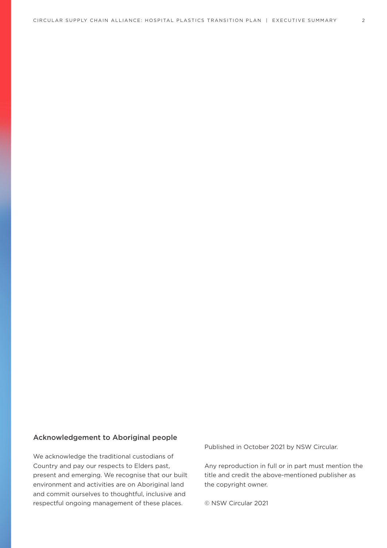#### Acknowledgement to Aboriginal people

We acknowledge the traditional custodians of Country and pay our respects to Elders past, present and emerging. We recognise that our built environment and activities are on Aboriginal land and commit ourselves to thoughtful, inclusive and respectful ongoing management of these places.

Published in October 2021 by NSW Circular.

Any reproduction in full or in part must mention the title and credit the above-mentioned publisher as the copyright owner.

© NSW Circular 2021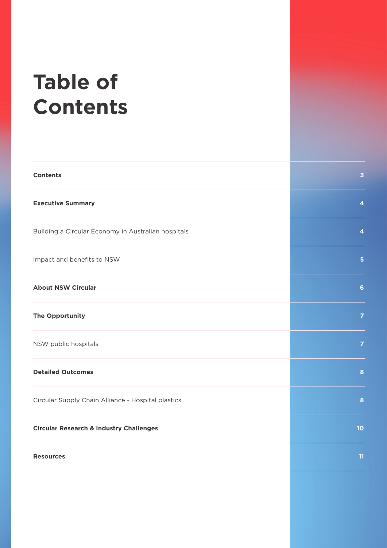## **Table of Contents**

| <b>Contents</b>                                     | $\overline{\mathbf{3}}$ |
|-----------------------------------------------------|-------------------------|
| <b>Executive Summary</b>                            | $\overline{\mathbf{4}}$ |
| Building a Circular Economy in Australian hospitals | $\overline{\mathbf{4}}$ |
| Impact and benefits to NSW                          | $5\phantom{1}$          |
| <b>About NSW Circular</b>                           | $6\phantom{a}$          |
| <b>The Opportunity</b>                              | $\overline{z}$          |
| NSW public hospitals                                | $\overline{z}$          |
| <b>Detailed Outcomes</b>                            | $\bf{8}$                |
| Circular Supply Chain Alliance - Hospital plastics  | 8                       |
| <b>Circular Research &amp; Industry Challenges</b>  | 10                      |
| <b>Resources</b>                                    | 11                      |
|                                                     |                         |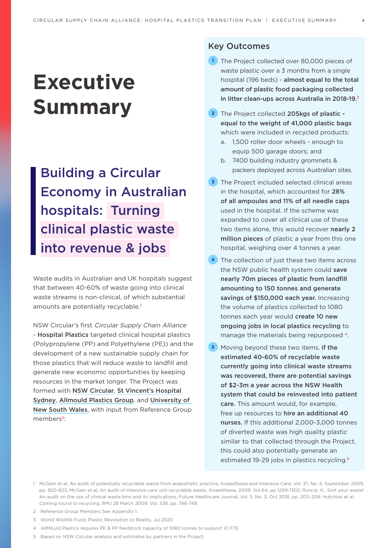## **Executive Summary**

Building a Circular Economy in Australian hospitals: Turning clinical plastic waste into revenue & jobs

Waste audits in Australian and UK hospitals suggest that between 40-60% of waste going into clinical waste streams is non-clinical, of which substantial amounts are potentially recyclable.<sup>1</sup>

NSW Circular's first Circular Supply Chain Alliance - Hospital Plastics targeted clinical hospital plastics (Polypropylene (PP) and Polyethylene (PE)) and the development of a new sustainable supply chain for those plastics that will reduce waste to landfill and generate new economic opportunities by keeping resources in the market longer. The Project was formed with [NSW Circular](https://www.nswcircular.org/), [St Vincent's Hospital](https://www.svhs.org.au/)  [Sydney](https://www.svhs.org.au/), Allmould Plastics Group, and [University of](https://www.smart.unsw.edu.au/)  [New South Wales](https://www.smart.unsw.edu.au/), with input from Reference Group members2:

#### Key Outcomes

- **1** The Project collected over 80,000 pieces of waste plastic over a 3 months from a single hospital (196 beds) - almost equal to the total amount of plastic food packaging collected in litter clean-ups across Australia in 2018-19.3
- **2** The Project collected 205kgs of plastic equal to the weight of 41,000 plastic bags which were included in recycled products:
	- a. 1,500 roller door wheels enough to equip 500 garage doors; and
	- b. 7400 building industry grommets & packers deployed across Australian sites.
- **3** The Project included selected clinical areas in the hospital, which accounted for 28% of all ampoules and 11% of all needle caps used in the hospital. If the scheme was expanded to cover all clinical use of these two items alone, this would recover nearly 2 million pieces of plastic a year from this one hospital, weighing over 4 tonnes a year.
- **4** The collection of just these two items across the NSW public health system could save nearly 70m pieces of plastic from landfill amounting to 150 tonnes and generate savings of \$150,000 each year. Increasing the volume of plastics collected to 1080 tonnes each year would create 10 new ongoing jobs in local plastics recycling to manage the materials being repurposed 4.
- **5** Moving beyond these two items, if the estimated 40-60% of recyclable waste currently going into clinical waste streams was recovered, there are potential savings of \$2-3m a year across the NSW Health system that could be reinvested into patient care. This amount would, for example, free up resources to hire an additional 40 nurses. If this additional 2,000-3,000 tonnes of diverted waste was high quality plastic similar to that collected through the Project, this could also potentially generate an estimated 19-29 jobs in plastics recycling<sup>5</sup>
- 1 McGain et al, An audit of potentially recyclable waste from anaesthetic practice, Anaesthesia and Intensive Care, Vol. 37, No. 5, September 2009, pp. 820-823; McGain et al, An audit of intensive care unit recyclable waste, Anaesthesia, 2009, Vol 64, pp 1299-1302; Runcie, H., Sort your waste! An audit on the use of clinical waste bins and its implications, Future Healthcare Journal, Vol. 5, No. 3, Oct 2018, pp. 203–206; Hutchins et al, Coming round to recycling, BMJ 28 March 2009, Vol. 338, pp. 746-748.
- 2 Reference Group Members See Appendix 1.
- 3 World Wildlife Fund, Plastic Revolution to Reality, Jul 2020
- 4 AllMould Plastics requires PE & PP feedstock capacity of 1080 tonnes to support 10 FTE
- 5 Based on NSW Circular analysis and estimates by partners in the Project.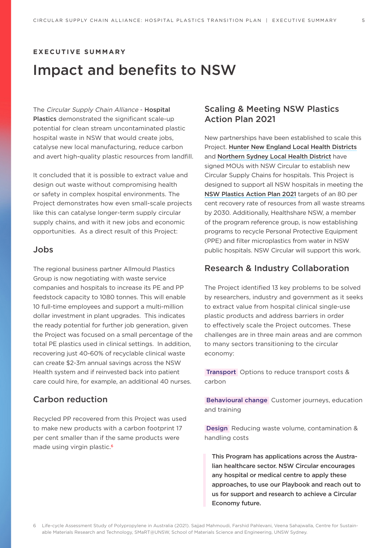#### **E X E C U T I V E S U M M A RY**

### Impact and benefits to NSW

The Circular Supply Chain Alliance - Hospital Plastics demonstrated the significant scale-up potential for clean stream uncontaminated plastic hospital waste in NSW that would create jobs, catalyse new local manufacturing, reduce carbon and avert high-quality plastic resources from landfill.

It concluded that it is possible to extract value and design out waste without compromising health or safety in complex hospital environments. The Project demonstrates how even small-scale projects like this can catalyse longer-term supply circular supply chains, and with it new jobs and economic opportunities. As a direct result of this Project:

#### Jobs

The regional business partner Allmould Plastics Group is now negotiating with waste service companies and hospitals to increase its PE and PP feedstock capacity to 1080 tonnes. This will enable 10 full-time employees and support a multi-million dollar investment in plant upgrades. This indicates the ready potential for further job generation, given the Project was focused on a small percentage of the total PE plastics used in clinical settings. In addition, recovering just 40-60% of recyclable clinical waste can create \$2-3m annual savings across the NSW Health system and if reinvested back into patient care could hire, for example, an additional 40 nurses.

#### Carbon reduction

Recycled PP recovered from this Project was used to make new products with a carbon footprint 17 per cent smaller than if the same products were made using virgin plastic.<sup>6</sup>

#### Scaling & Meeting NSW Plastics Action Plan 2021

New partnerships have been established to scale this Project. [Hunter New England Local Health Districts](https://www.hnehealth.nsw.gov.au/) and [Northern Sydney Local Health District](https://www.health.nsw.gov.au/lhd/Pages/nslhd.aspx) have signed MOUs with NSW Circular to establish new Circular Supply Chains for hospitals. This Project is designed to support all NSW hospitals in meeting the [NSW Plastics Action Plan 2021](https://www.dpie.nsw.gov.au/our-work/environment-energy-and-science/plastics-action-plan) targets of an 80 per cent recovery rate of resources from all waste streams by 2030. Additionally, Healthshare NSW, a member of the program reference group, is now establishing programs to recycle Personal Protective Equipment (PPE) and filter microplastics from water in NSW public hospitals. NSW Circular will support this work.

#### Research & Industry Collaboration

The Project identified 13 key problems to be solved by researchers, industry and government as it seeks to extract value from hospital clinical single-use plastic products and address barriers in order to effectively scale the Project outcomes. These challenges are in three main areas and are common to many sectors transitioning to the circular economy:

 Transport Options to reduce transport costs & carbon

 Behavioural change Customer journeys, education and training

 Design Reducing waste volume, contamination & handling costs

This Program has applications across the Australian healthcare sector. NSW Circular encourages any hospital or medical centre to apply these approaches, to use our Playbook and reach out to us for support and research to achieve a Circular Economy future.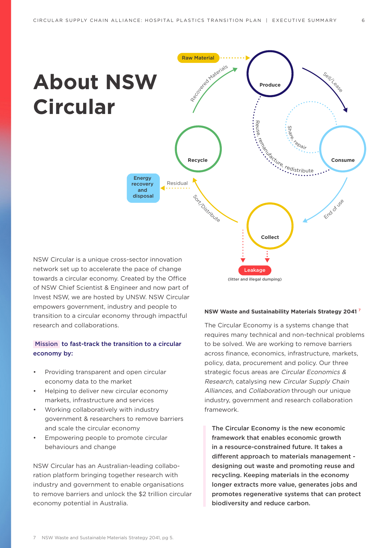## **About NSW Circular**



NSW Circular is a unique cross-sector innovation network set up to accelerate the pace of change towards a circular economy. Created by the Office of NSW Chief Scientist & Engineer and now part of Invest NSW, we are hosted by UNSW. NSW Circular empowers government, industry and people to transition to a circular economy through impactful research and collaborations.

#### Mission to fast-track the transition to a circular economy by:

- Providing transparent and open circular economy data to the market
- Helping to deliver new circular economy markets, infrastructure and services
- Working collaboratively with industry government & researchers to remove barriers and scale the circular economy
- Empowering people to promote circular behaviours and change

NSW Circular has an Australian-leading collaboration platform bringing together research with industry and government to enable organisations to remove barriers and unlock the \$2 trillion circular economy potential in Australia.

#### **NSW Waste and Sustainability Materials Strategy 2041** <sup>7</sup>

The Circular Economy is a systems change that requires many technical and non-technical problems to be solved. We are working to remove barriers across finance, economics, infrastructure, markets, policy, data, procurement and policy. Our three strategic focus areas are Circular Economics & Research, catalysing new Circular Supply Chain Alliances, and Collaboration through our unique industry, government and research collaboration framework.

The Circular Economy is the new economic framework that enables economic growth in a resource-constrained future. It takes a different approach to materials management designing out waste and promoting reuse and recycling. Keeping materials in the economy longer extracts more value, generates jobs and promotes regenerative systems that can protect biodiversity and reduce carbon.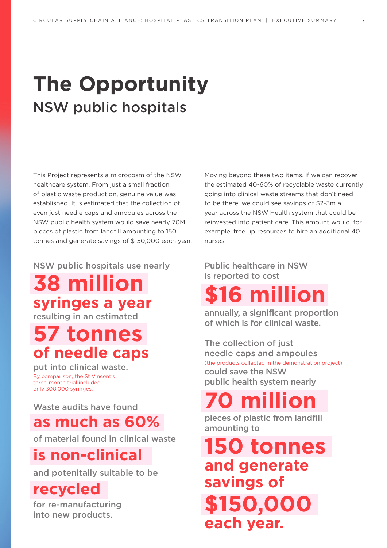## **The Opportunity** NSW public hospitals

This Project represents a microcosm of the NSW healthcare system. From just a small fraction of plastic waste production, genuine value was established. It is estimated that the collection of even just needle caps and ampoules across the NSW public health system would save nearly 70M pieces of plastic from landfill amounting to 150 tonnes and generate savings of \$150,000 each year.

NSW public hospitals use nearly

**38 million syringes a year** resulting in an estimated

## **57 tonnes of needle caps**

put into clinical waste. By comparison, the St Vincent's three-month trial included only 300.000 syringes.

Waste audits have found

### **as much as 60%**

of material found in clinical waste

## **is non-clinical**

and potenitally suitable to be

### **recycled**

for re-manufacturing into new products.

Moving beyond these two items, if we can recover the estimated 40-60% of recyclable waste currently going into clinical waste streams that don't need to be there, we could see savings of \$2-3m a year across the NSW Health system that could be reinvested into patient care. This amount would, for example, free up resources to hire an additional 40 nurses.

#### Public healthcare in NSW is reported to cost

## **million**

annually, a significant proportion of which is for clinical waste.

The collection of just needle caps and ampoules (the products collected in the demonstration project) could save the NSW public health system nearly

## **70 million**

pieces of plastic from landfill amounting to

**150 tonnes and generate savings of \$150,000 each year.**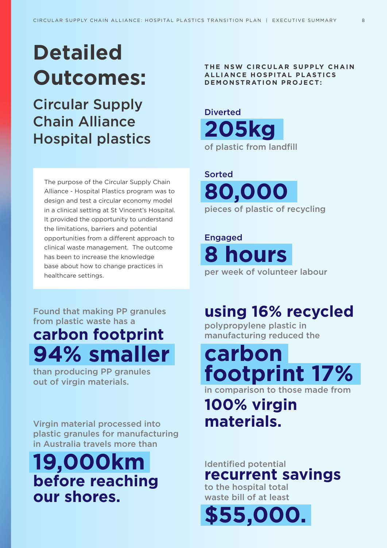## **Detailed Outcomes:**

Circular Supply Chain Alliance Hospital plastics

The purpose of the Circular Supply Chain Alliance - Hospital Plastics program was to design and test a circular economy model in a clinical setting at St Vincent's Hospital. It provided the opportunity to understand the limitations, barriers and potential opportunities from a different approach to clinical waste management. The outcome has been to increase the knowledge base about how to change practices in healthcare settings.

**THE NSW CIRCULAR SUPPLY CHAIN ALLIANCE HOSPITAL PLASTICS DEMONSTRATION PROJECT:**

**205kg** of plastic from landfill **Diverted** 

**80,000** pieces of plastic of recycling Sorted

**8 hours** per week of volunteer labour Engaged

Found that making PP granules from plastic waste has a

## **carbon footprint 94% smaller**

than producing PP granules out of virgin materials.

Virgin material processed into plastic granules for manufacturing in Australia travels more than

## **19,000km before reaching our shores.**

### **using 16% recycled**

polypropylene plastic in manufacturing reduced the

**carbon footprint 17%** in comparison to those made from

## **100% virgin materials.**

### Identified potential **recurrent savings**

to the hospital total waste bill of at least

**\$55,000.**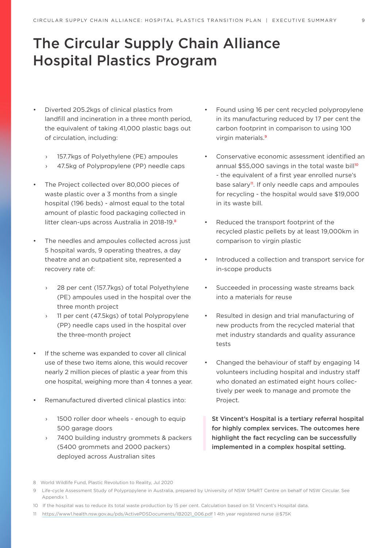### The Circular Supply Chain Alliance Hospital Plastics Program

- Diverted 205.2kgs of clinical plastics from landfill and incineration in a three month period, the equivalent of taking 41,000 plastic bags out of circulation, including:
	- 157.7kgs of Polyethylene (PE) ampoules
	- 47.5kg of Polypropylene (PP) needle caps
- The Project collected over 80,000 pieces of waste plastic over a 3 months from a single hospital (196 beds) - almost equal to the total amount of plastic food packaging collected in litter clean-ups across Australia in 2018-19.<sup>8</sup>
- The needles and ampoules collected across just 5 hospital wards, 9 operating theatres, a day theatre and an outpatient site, represented a recovery rate of:
	- 28 per cent (157.7kgs) of total Polyethylene (PE) ampoules used in the hospital over the three month project
	- 11 per cent (47.5kgs) of total Polypropylene (PP) needle caps used in the hospital over the three-month project
- If the scheme was expanded to cover all clinical use of these two items alone, this would recover nearly 2 million pieces of plastic a year from this one hospital, weighing more than 4 tonnes a year.
- Remanufactured diverted clinical plastics into:
	- › 1500 roller door wheels enough to equip 500 garage doors
	- 7400 building industry grommets & packers (5400 grommets and 2000 packers) deployed across Australian sites
- Found using 16 per cent recycled polypropylene in its manufacturing reduced by 17 per cent the carbon footprint in comparison to using 100 virgin materials.<sup>9</sup>
- Conservative economic assessment identified an annual \$55,000 savings in the total waste bill<sup>10</sup> - the equivalent of a first year enrolled nurse's base salary<sup>11</sup>. If only needle caps and ampoules for recycling - the hospital would save \$19,000 in its waste bill.
- Reduced the transport footprint of the recycled plastic pellets by at least 19,000km in comparison to virgin plastic
- Introduced a collection and transport service for in-scope products
- Succeeded in processing waste streams back into a materials for reuse
- Resulted in design and trial manufacturing of new products from the recycled material that met industry standards and quality assurance tests
- Changed the behaviour of staff by engaging 14 volunteers including hospital and industry staff who donated an estimated eight hours collectively per week to manage and promote the Project.

St Vincent's Hospital is a tertiary referral hospital for highly complex services. The outcomes here highlight the fact recycling can be successfully implemented in a complex hospital setting.

11  [https://www1.health.nsw.gov.au/pds/ActivePDSDocuments/IB2021\\_006.pdf](https://www1.health.nsw.gov.au/pds/ActivePDSDocuments/IB2021_006.pdf) 1 4th year registered nurse @\$75K

<sup>8</sup> World Wildlife Fund, Plastic Revolution to Reality, Jul 2020

<sup>9</sup> Life-cycle Assessment Study of Polypropylene in Australia, prepared by University of NSW SMaRT Centre on behalf of NSW Circular. See Appendix 1.

<sup>10</sup> If the hospital was to reduce its total waste production by 15 per cent. Calculation based on St Vincent's Hospital data.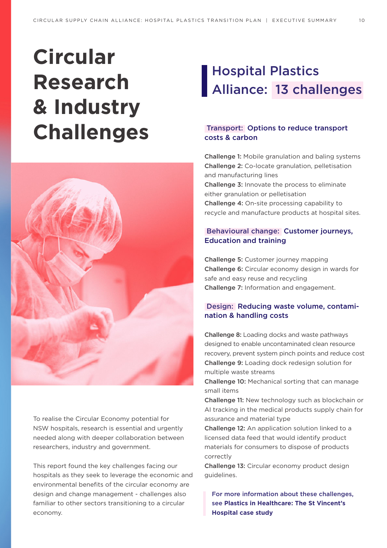## **Circular Research & Industry Challenges**



To realise the Circular Economy potential for NSW hospitals, research is essential and urgently needed along with deeper collaboration between researchers, industry and government.

This report found the key challenges facing our hospitals as they seek to leverage the economic and environmental benefits of the circular economy are design and change management - challenges also familiar to other sectors transitioning to a circular economy.

## Hospital Plastics Alliance: 13 challenges

#### Transport: Options to reduce transport costs & carbon

Challenge 1: Mobile granulation and baling systems Challenge 2: Co-locate granulation, pelletisation and manufacturing lines Challenge 3: Innovate the process to eliminate either granulation or pelletisation Challenge 4: On-site processing capability to recycle and manufacture products at hospital sites.

#### Behavioural change: Customer journeys, Education and training

Challenge 5: Customer journey mapping Challenge 6: Circular economy design in wards for safe and easy reuse and recycling Challenge 7: Information and engagement.

#### Design: Reducing waste volume, contamination & handling costs

Challenge 8: Loading docks and waste pathways designed to enable uncontaminated clean resource recovery, prevent system pinch points and reduce cost Challenge 9: Loading dock redesign solution for multiple waste streams

Challenge 10: Mechanical sorting that can manage small items

Challenge 11: New technology such as blockchain or AI tracking in the medical products supply chain for assurance and material type

Challenge 12: An application solution linked to a licensed data feed that would identify product materials for consumers to dispose of products correctly

Challenge 13: Circular economy product design guidelines.

For more information about these challenges, see **Plastics in Healthcare: The St Vincent's Hospital case study**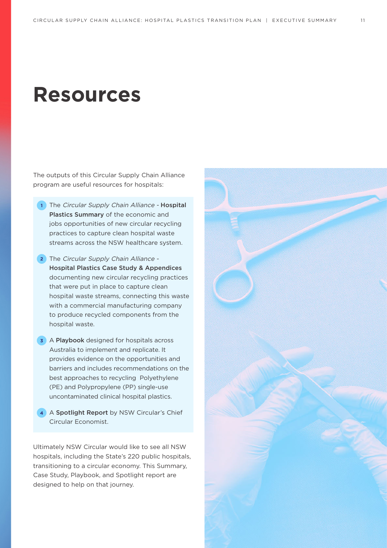## **Resources**

The outputs of this Circular Supply Chain Alliance program are useful resources for hospitals:

- **1** The Circular Supply Chain Alliance Hospital Plastics Summary of the economic and jobs opportunities of new circular recycling practices to capture clean hospital waste streams across the NSW healthcare system.
- **2** The Circular Supply Chain Alliance Hospital Plastics Case Study & Appendices documenting new circular recycling practices that were put in place to capture clean hospital waste streams, connecting this waste with a commercial manufacturing company to produce recycled components from the hospital waste.
- **3** A Playbook designed for hospitals across Australia to implement and replicate. It provides evidence on the opportunities and barriers and includes recommendations on the best approaches to recycling Polyethylene (PE) and Polypropylene (PP) single-use uncontaminated clinical hospital plastics.
- **4** A Spotlight Report by NSW Circular's Chief Circular Economist.

Ultimately NSW Circular would like to see all NSW hospitals, including the State's 220 public hospitals, transitioning to a circular economy. This Summary, Case Study, Playbook, and Spotlight report are designed to help on that journey.